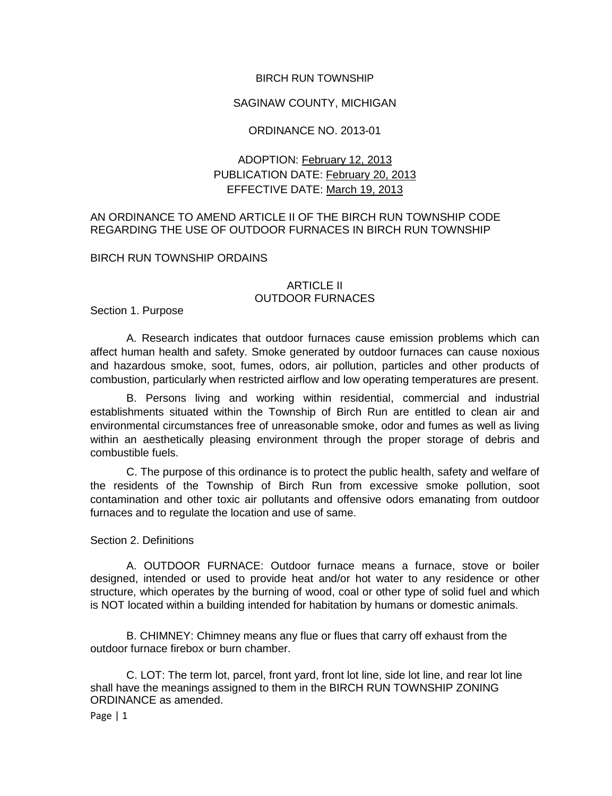### BIRCH RUN TOWNSHIP

### SAGINAW COUNTY, MICHIGAN

# ORDINANCE NO. 2013-01

# ADOPTION: February 12, 2013 PUBLICATION DATE: February 20, 2013 EFFECTIVE DATE: March 19, 2013

# AN ORDINANCE TO AMEND ARTICLE II OF THE BIRCH RUN TOWNSHIP CODE REGARDING THE USE OF OUTDOOR FURNACES IN BIRCH RUN TOWNSHIP

#### BIRCH RUN TOWNSHIP ORDAINS

### ARTICLE II OUTDOOR FURNACES

Section 1. Purpose

A. Research indicates that outdoor furnaces cause emission problems which can affect human health and safety. Smoke generated by outdoor furnaces can cause noxious and hazardous smoke, soot, fumes, odors, air pollution, particles and other products of combustion, particularly when restricted airflow and low operating temperatures are present.

B. Persons living and working within residential, commercial and industrial establishments situated within the Township of Birch Run are entitled to clean air and environmental circumstances free of unreasonable smoke, odor and fumes as well as living within an aesthetically pleasing environment through the proper storage of debris and combustible fuels.

C. The purpose of this ordinance is to protect the public health, safety and welfare of the residents of the Township of Birch Run from excessive smoke pollution, soot contamination and other toxic air pollutants and offensive odors emanating from outdoor furnaces and to regulate the location and use of same.

Section 2. Definitions

A. OUTDOOR FURNACE: Outdoor furnace means a furnace, stove or boiler designed, intended or used to provide heat and/or hot water to any residence or other structure, which operates by the burning of wood, coal or other type of solid fuel and which is NOT located within a building intended for habitation by humans or domestic animals.

B. CHIMNEY: Chimney means any flue or flues that carry off exhaust from the outdoor furnace firebox or burn chamber.

C. LOT: The term lot, parcel, front yard, front lot line, side lot line, and rear lot line shall have the meanings assigned to them in the BIRCH RUN TOWNSHIP ZONING ORDINANCE as amended.

Page | 1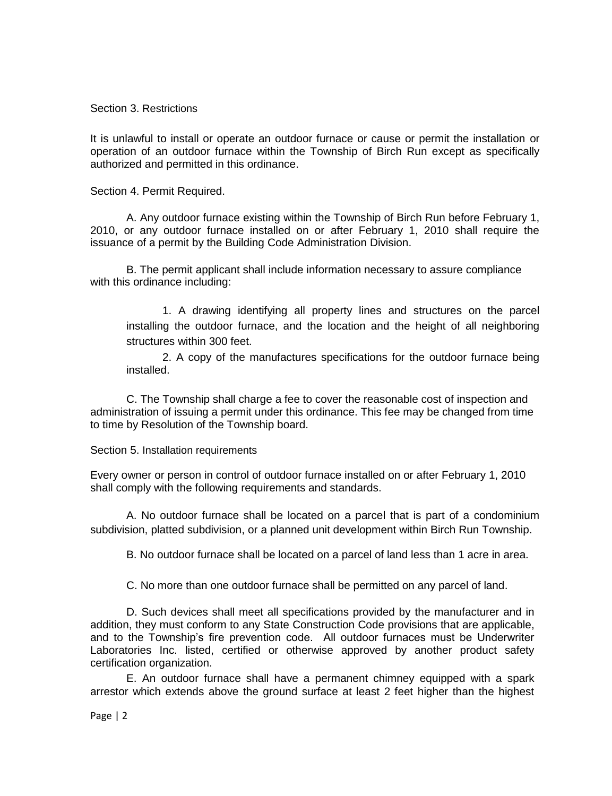Section 3. Restrictions

It is unlawful to install or operate an outdoor furnace or cause or permit the installation or operation of an outdoor furnace within the Township of Birch Run except as specifically authorized and permitted in this ordinance.

Section 4. Permit Required.

A. Any outdoor furnace existing within the Township of Birch Run before February 1, 2010, or any outdoor furnace installed on or after February 1, 2010 shall require the issuance of a permit by the Building Code Administration Division.

B. The permit applicant shall include information necessary to assure compliance with this ordinance including:

1. A drawing identifying all property lines and structures on the parcel installing the outdoor furnace, and the location and the height of all neighboring structures within 300 feet.

2. A copy of the manufactures specifications for the outdoor furnace being installed.

C. The Township shall charge a fee to cover the reasonable cost of inspection and administration of issuing a permit under this ordinance. This fee may be changed from time to time by Resolution of the Township board.

Section 5. Installation requirements

Every owner or person in control of outdoor furnace installed on or after February 1, 2010 shall comply with the following requirements and standards.

A. No outdoor furnace shall be located on a parcel that is part of a condominium subdivision, platted subdivision, or a planned unit development within Birch Run Township.

B. No outdoor furnace shall be located on a parcel of land less than 1 acre in area.

C. No more than one outdoor furnace shall be permitted on any parcel of land.

D. Such devices shall meet all specifications provided by the manufacturer and in addition, they must conform to any State Construction Code provisions that are applicable, and to the Township's fire prevention code. All outdoor furnaces must be Underwriter Laboratories Inc. listed, certified or otherwise approved by another product safety certification organization.

E. An outdoor furnace shall have a permanent chimney equipped with a spark arrestor which extends above the ground surface at least 2 feet higher than the highest

Page | 2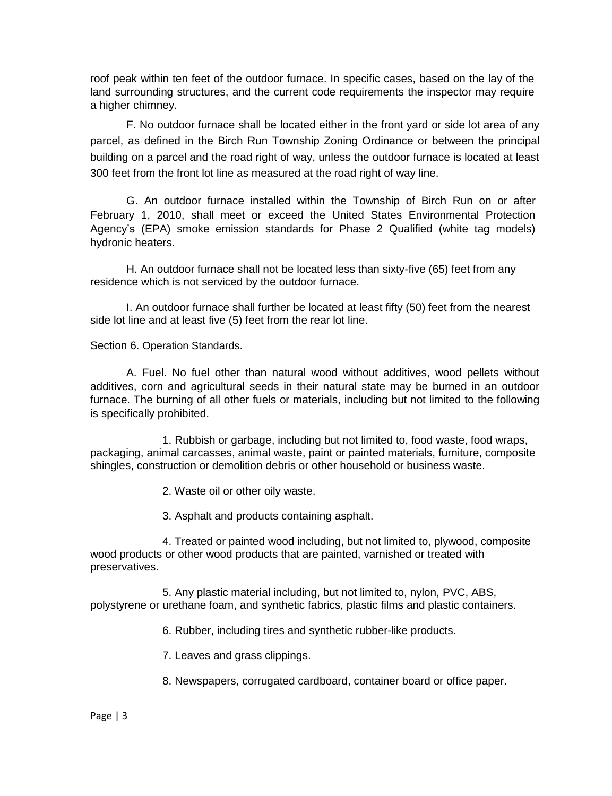roof peak within ten feet of the outdoor furnace. In specific cases, based on the lay of the land surrounding structures, and the current code requirements the inspector may require a higher chimney.

F. No outdoor furnace shall be located either in the front yard or side lot area of any parcel, as defined in the Birch Run Township Zoning Ordinance or between the principal building on a parcel and the road right of way, unless the outdoor furnace is located at least 300 feet from the front lot line as measured at the road right of way line.

G. An outdoor furnace installed within the Township of Birch Run on or after February 1, 2010, shall meet or exceed the United States Environmental Protection Agency's (EPA) smoke emission standards for Phase 2 Qualified (white tag models) hydronic heaters.

H. An outdoor furnace shall not be located less than sixty-five (65) feet from any residence which is not serviced by the outdoor furnace.

I. An outdoor furnace shall further be located at least fifty (50) feet from the nearest side lot line and at least five (5) feet from the rear lot line.

Section 6. Operation Standards.

A. Fuel. No fuel other than natural wood without additives, wood pellets without additives, corn and agricultural seeds in their natural state may be burned in an outdoor furnace. The burning of all other fuels or materials, including but not limited to the following is specifically prohibited.

1. Rubbish or garbage, including but not limited to, food waste, food wraps, packaging, animal carcasses, animal waste, paint or painted materials, furniture, composite shingles, construction or demolition debris or other household or business waste.

2. Waste oil or other oily waste.

3. Asphalt and products containing asphalt.

4. Treated or painted wood including, but not limited to, plywood, composite wood products or other wood products that are painted, varnished or treated with preservatives.

5. Any plastic material including, but not limited to, nylon, PVC, ABS, polystyrene or urethane foam, and synthetic fabrics, plastic films and plastic containers.

6. Rubber, including tires and synthetic rubber-like products.

7. Leaves and grass clippings.

8. Newspapers, corrugated cardboard, container board or office paper.

### Page | 3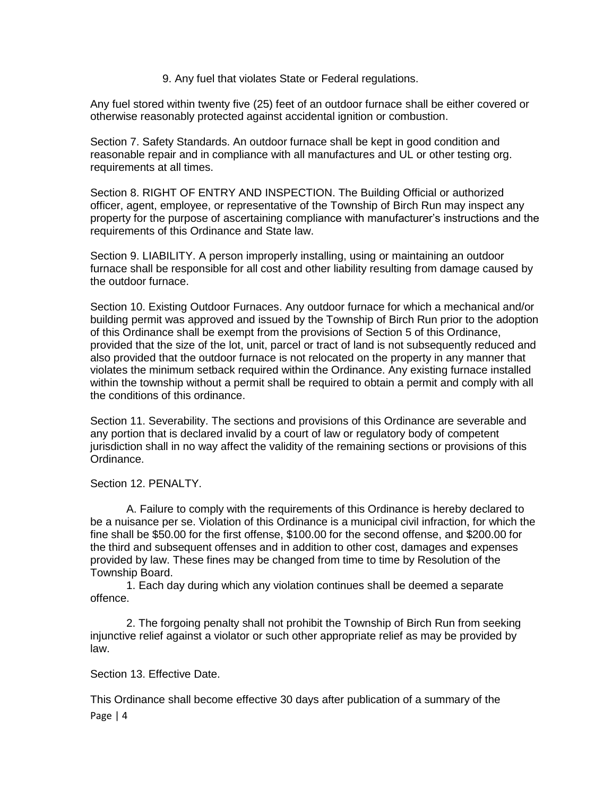9. Any fuel that violates State or Federal regulations.

Any fuel stored within twenty five (25) feet of an outdoor furnace shall be either covered or otherwise reasonably protected against accidental ignition or combustion.

Section 7. Safety Standards. An outdoor furnace shall be kept in good condition and reasonable repair and in compliance with all manufactures and UL or other testing org. requirements at all times.

Section 8. RIGHT OF ENTRY AND INSPECTION. The Building Official or authorized officer, agent, employee, or representative of the Township of Birch Run may inspect any property for the purpose of ascertaining compliance with manufacturer's instructions and the requirements of this Ordinance and State law.

Section 9. LIABILITY. A person improperly installing, using or maintaining an outdoor furnace shall be responsible for all cost and other liability resulting from damage caused by the outdoor furnace.

Section 10. Existing Outdoor Furnaces. Any outdoor furnace for which a mechanical and/or building permit was approved and issued by the Township of Birch Run prior to the adoption of this Ordinance shall be exempt from the provisions of Section 5 of this Ordinance, provided that the size of the lot, unit, parcel or tract of land is not subsequently reduced and also provided that the outdoor furnace is not relocated on the property in any manner that violates the minimum setback required within the Ordinance. Any existing furnace installed within the township without a permit shall be required to obtain a permit and comply with all the conditions of this ordinance.

Section 11. Severability. The sections and provisions of this Ordinance are severable and any portion that is declared invalid by a court of law or regulatory body of competent jurisdiction shall in no way affect the validity of the remaining sections or provisions of this Ordinance.

Section 12. PENALTY.

A. Failure to comply with the requirements of this Ordinance is hereby declared to be a nuisance per se. Violation of this Ordinance is a municipal civil infraction, for which the fine shall be \$50.00 for the first offense, \$100.00 for the second offense, and \$200.00 for the third and subsequent offenses and in addition to other cost, damages and expenses provided by law. These fines may be changed from time to time by Resolution of the Township Board.

1. Each day during which any violation continues shall be deemed a separate offence.

2. The forgoing penalty shall not prohibit the Township of Birch Run from seeking injunctive relief against a violator or such other appropriate relief as may be provided by law.

Section 13. Effective Date.

Page | 4 This Ordinance shall become effective 30 days after publication of a summary of the